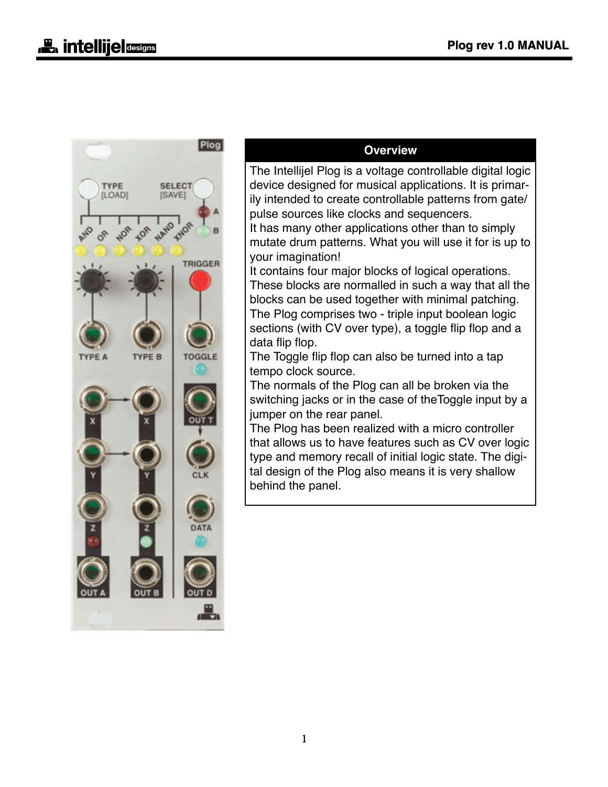

#### **Overview**

The Intellijel Plog is a voltage controllable digital logic device designed for musical applications. It is primarily intended to create controllable patterns from gate/ pulse sources like clocks and sequencers.

It has many other applications other than to simply mutate drum patterns. What you will use it for is up to your imagination!

It contains four major blocks of logical operations. These blocks are normalled in such a way that all the blocks can be used together with minimal patching. The Plog comprises two - triple input boolean logic sections (with CV over type), a toggle flip flop and a data flip flop.

The Toggle flip flop can also be turned into a tap tempo clock source.

The normals of the Plog can all be broken via the switching jacks or in the case of theToggle input by a jumper on the rear panel.

The Plog has been realized with a micro controller that allows us to have features such as CV over logic type and memory recall of initial logic state. The digital design of the Plog also means it is very shallow behind the panel.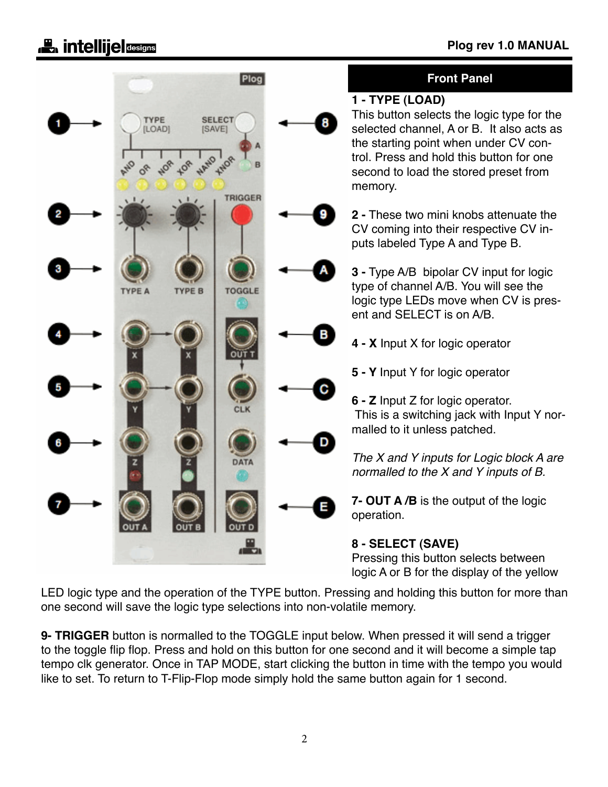# **Let** intellije **designs**



LED logic type and the operation of the TYPE button. Pressing and holding this button for more than one second will save the logic type selections into non-volatile memory.

**9- TRIGGER** button is normalled to the TOGGLE input below. When pressed it will send a trigger to the toggle flip flop. Press and hold on this button for one second and it will become a simple tap tempo clk generator. Once in TAP MODE, start clicking the button in time with the tempo you would like to set. To return to T-Flip-Flop mode simply hold the same button again for 1 second.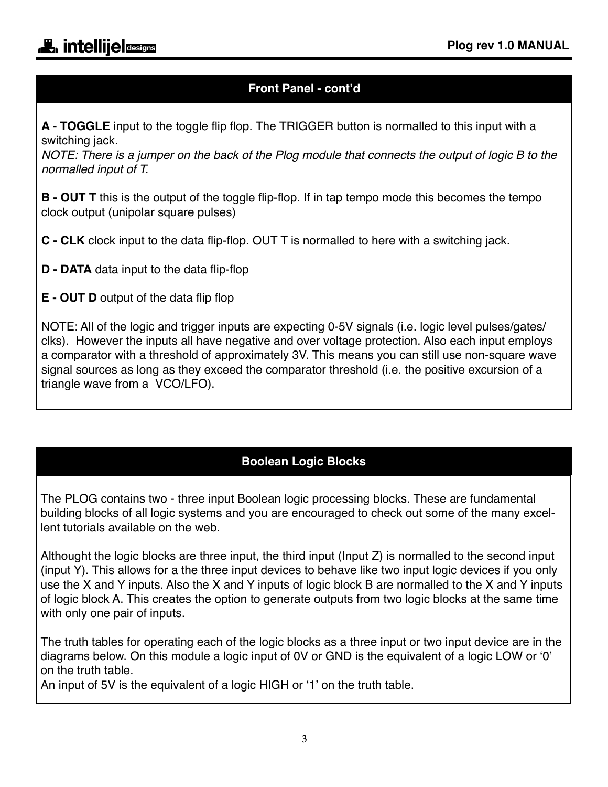## **Front Panel - cont'd**

**A - TOGGLE** input to the toggle flip flop. The TRIGGER button is normalled to this input with a switching jack.

*NOTE: There is a jumper on the back of the Plog module that connects the output of logic B to the normalled input of T.*

**B - OUT T** this is the output of the toggle flip-flop. If in tap tempo mode this becomes the tempo clock output (unipolar square pulses)

**C - CLK** clock input to the data flip-flop. OUT T is normalled to here with a switching jack.

- **D DATA** data input to the data flip-flop
- **E OUT D** output of the data flip flop

NOTE: All of the logic and trigger inputs are expecting 0-5V signals (i.e. logic level pulses/gates/ clks). However the inputs all have negative and over voltage protection. Also each input employs a comparator with a threshold of approximately 3V. This means you can still use non-square wave signal sources as long as they exceed the comparator threshold (i.e. the positive excursion of a triangle wave from a VCO/LFO).

## **Boolean Logic Blocks**

The PLOG contains two - three input Boolean logic processing blocks. These are fundamental building blocks of all logic systems and you are encouraged to check out some of the many excellent tutorials available on the web.

Althought the logic blocks are three input, the third input (Input Z) is normalled to the second input (input Y). This allows for a the three input devices to behave like two input logic devices if you only use the X and Y inputs. Also the X and Y inputs of logic block B are normalled to the X and Y inputs of logic block A. This creates the option to generate outputs from two logic blocks at the same time with only one pair of inputs.

The truth tables for operating each of the logic blocks as a three input or two input device are in the diagrams below. On this module a logic input of 0V or GND is the equivalent of a logic LOW or '0' on the truth table.

An input of 5V is the equivalent of a logic HIGH or '1' on the truth table.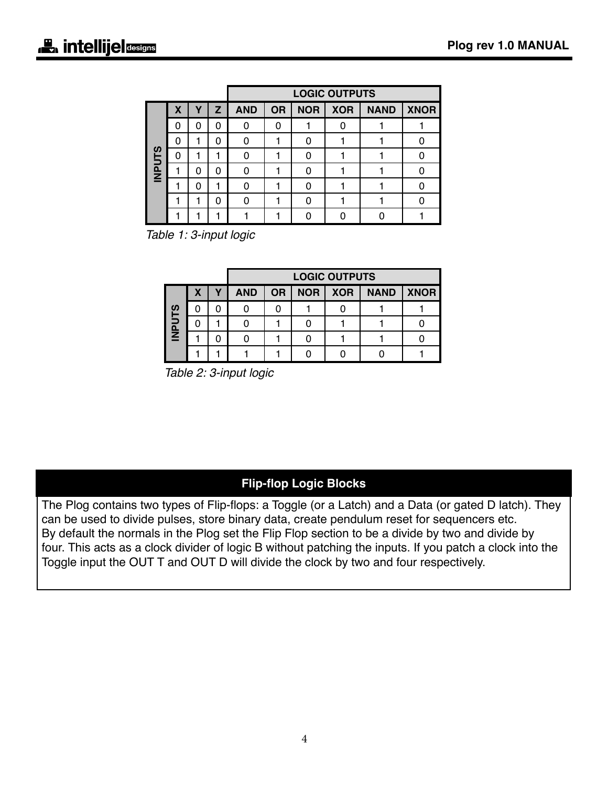|               |   |   |              | <b>LOGIC OUTPUTS</b> |           |            |            |             |             |  |
|---------------|---|---|--------------|----------------------|-----------|------------|------------|-------------|-------------|--|
|               | X | Υ | $\mathbf{z}$ | <b>AND</b>           | <b>OR</b> | <b>NOR</b> | <b>XOR</b> | <b>NAND</b> | <b>XNOR</b> |  |
|               | 0 | 0 | 0            |                      | O         |            |            |             |             |  |
|               | 0 |   | 0            |                      |           |            |            |             |             |  |
| <b>INPUTS</b> | Ω |   |              |                      |           |            |            |             |             |  |
|               |   | 0 | 0            |                      |           |            |            |             |             |  |
|               |   | 0 |              |                      |           |            |            |             |             |  |
|               |   |   | 0            |                      |           |            |            |             |             |  |
|               |   |   |              |                      |           |            |            |             |             |  |

*Table 1: 3-input logic*

|             |   |   | <b>LOGIC OUTPUTS</b> |           |            |            |             |             |  |  |  |
|-------------|---|---|----------------------|-----------|------------|------------|-------------|-------------|--|--|--|
| <b>DaNI</b> | х | Υ | <b>AND</b>           | <b>OR</b> | <b>NOR</b> | <b>XOR</b> | <b>NAND</b> | <b>XNOR</b> |  |  |  |
|             |   |   |                      |           |            |            |             |             |  |  |  |
|             |   |   |                      |           |            |            |             |             |  |  |  |
|             |   |   |                      |           |            |            |             |             |  |  |  |
|             |   |   |                      |           |            |            |             |             |  |  |  |

*Table 2: 3-input logic*

### **Flip-flop Logic Blocks**

The Plog contains two types of Flip-flops: a Toggle (or a Latch) and a Data (or gated D latch). They can be used to divide pulses, store binary data, create pendulum reset for sequencers etc. By default the normals in the Plog set the Flip Flop section to be a divide by two and divide by four. This acts as a clock divider of logic B without patching the inputs. If you patch a clock into the Toggle input the OUT T and OUT D will divide the clock by two and four respectively.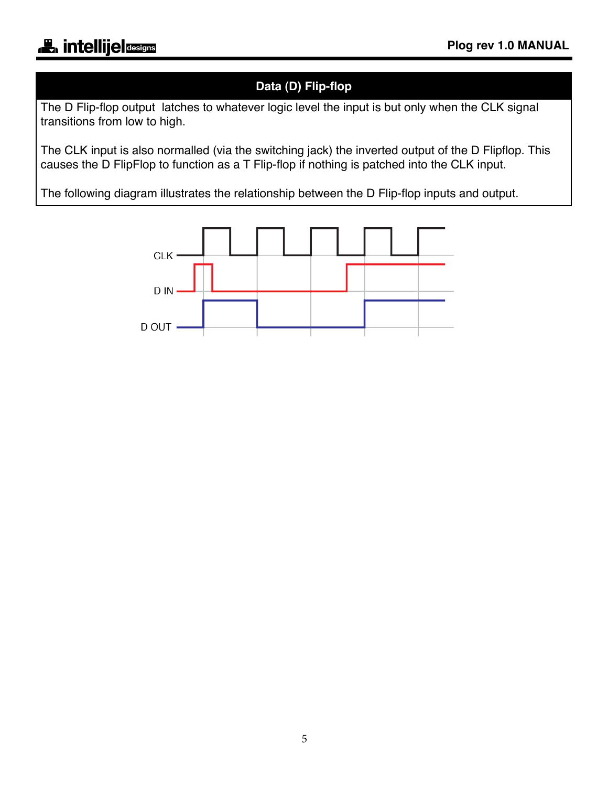# **Data (D) Flip-flop**

The D Flip-flop output latches to whatever logic level the input is but only when the CLK signal transitions from low to high.

The CLK input is also normalled (via the switching jack) the inverted output of the D Flipflop. This causes the D FlipFlop to function as a T Flip-flop if nothing is patched into the CLK input.

The following diagram illustrates the relationship between the D Flip-flop inputs and output.

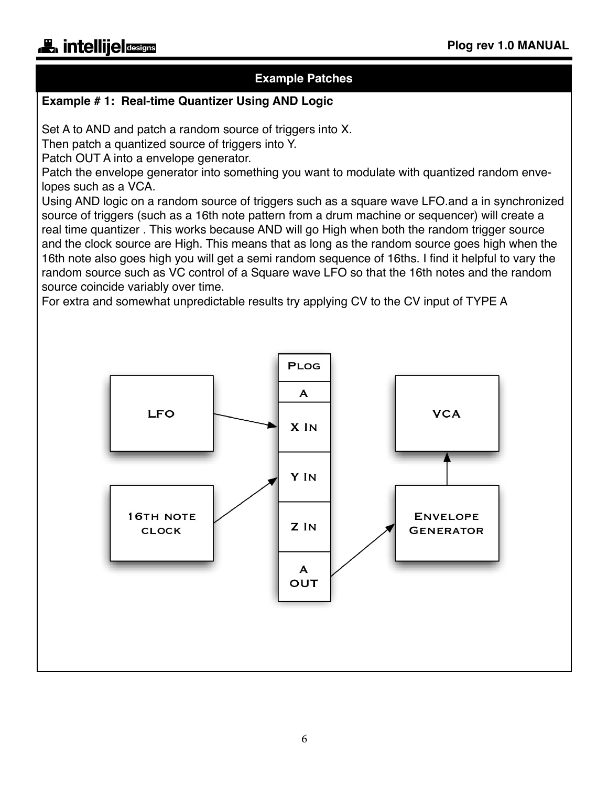## **Example Patches**

#### **Example # 1: Real-time Quantizer Using AND Logic**

Set A to AND and patch a random source of triggers into X.

Then patch a quantized source of triggers into Y.

Patch OUT A into a envelope generator.

Patch the envelope generator into something you want to modulate with quantized random envelopes such as a VCA.

Using AND logic on a random source of triggers such as a square wave LFO.and a in synchronized source of triggers (such as a 16th note pattern from a drum machine or sequencer) will create a real time quantizer . This works because AND will go High when both the random trigger source and the clock source are High. This means that as long as the random source goes high when the 16th note also goes high you will get a semi random sequence of 16ths. I find it helpful to vary the random source such as VC control of a Square wave LFO so that the 16th notes and the random source coincide variably over time.

For extra and somewhat unpredictable results try applying CV to the CV input of TYPE A